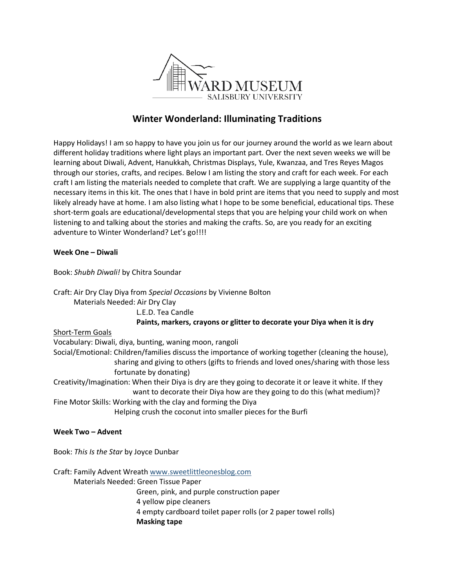

# **Winter Wonderland: Illuminating Traditions**

Happy Holidays! I am so happy to have you join us for our journey around the world as we learn about different holiday traditions where light plays an important part. Over the next seven weeks we will be learning about Diwali, Advent, Hanukkah, Christmas Displays, Yule, Kwanzaa, and Tres Reyes Magos through our stories, crafts, and recipes. Below I am listing the story and craft for each week. For each craft I am listing the materials needed to complete that craft. We are supplying a large quantity of the necessary items in this kit. The ones that I have in bold print are items that you need to supply and most likely already have at home. I am also listing what I hope to be some beneficial, educational tips. These short-term goals are educational/developmental steps that you are helping your child work on when listening to and talking about the stories and making the crafts. So, are you ready for an exciting adventure to Winter Wonderland? Let's go!!!!

# **Week One – Diwali**

Book: *Shubh Diwali!* by Chitra Soundar

Craft: Air Dry Clay Diya from *Special Occasions* by Vivienne Bolton Materials Needed: Air Dry Clay

L.E.D. Tea Candle

**Paints, markers, crayons or glitter to decorate your Diya when it is dry**

## Short-Term Goals

Vocabulary: Diwali, diya, bunting, waning moon, rangoli Social/Emotional: Children/families discuss the importance of working together (cleaning the house), sharing and giving to others (gifts to friends and loved ones/sharing with those less fortunate by donating)

Creativity/Imagination: When their Diya is dry are they going to decorate it or leave it white. If they want to decorate their Diya how are they going to do this (what medium)?

Fine Motor Skills: Working with the clay and forming the Diya

Helping crush the coconut into smaller pieces for the Burfi

## **Week Two – Advent**

Book: *This Is the Star* by Joyce Dunbar

Craft: Family Advent Wreath [www.sweetlittleonesblog.com](http://www.sweetlittleonesblog.com/)

Materials Needed: Green Tissue Paper

Green, pink, and purple construction paper

4 yellow pipe cleaners

4 empty cardboard toilet paper rolls (or 2 paper towel rolls) **Masking tape**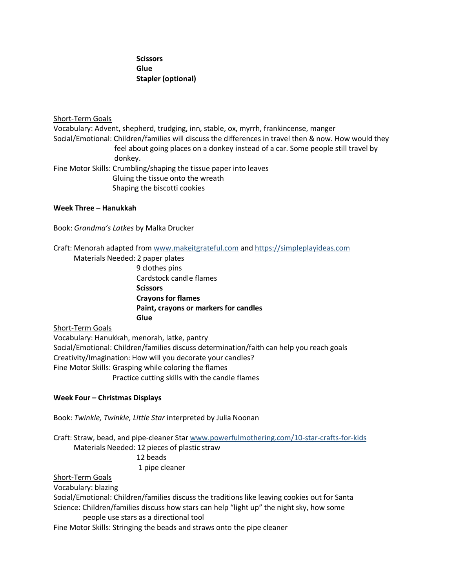# **Scissors Glue Stapler (optional)**

## Short-Term Goals

Vocabulary: Advent, shepherd, trudging, inn, stable, ox, myrrh, frankincense, manger Social/Emotional: Children/families will discuss the differences in travel then & now. How would they feel about going places on a donkey instead of a car. Some people still travel by donkey.

Fine Motor Skills: Crumbling/shaping the tissue paper into leaves Gluing the tissue onto the wreath Shaping the biscotti cookies

## **Week Three – Hanukkah**

Book: *Grandma's Latkes* by Malka Drucker

Craft: Menorah adapted from [www.makeitgrateful.com](http://www.makeitgrateful.com/) and [https://simpleplayideas.com](https://simpleplayideas.com/)

 Materials Needed: 2 paper plates 9 clothes pins Cardstock candle flames **Scissors Crayons for flames Paint, crayons or markers for candles Glue**

# Short-Term Goals

Vocabulary: Hanukkah, menorah, latke, pantry Social/Emotional: Children/families discuss determination/faith can help you reach goals Creativity/Imagination: How will you decorate your candles? Fine Motor Skills: Grasping while coloring the flames Practice cutting skills with the candle flames

## **Week Four – Christmas Displays**

Book: *Twinkle, Twinkle, Little Star* interpreted by Julia Noonan

Craft: Straw, bead, and pipe-cleaner Star [www.powerfulmothering.com/10-star-crafts-for-kids](http://www.powerfulmothering.com/10-star-crafts-for-kids) Materials Needed: 12 pieces of plastic straw 12 beads 1 pipe cleaner

# Short-Term Goals

Vocabulary: blazing

Social/Emotional: Children/families discuss the traditions like leaving cookies out for Santa Science: Children/families discuss how stars can help "light up" the night sky, how some people use stars as a directional tool

Fine Motor Skills: Stringing the beads and straws onto the pipe cleaner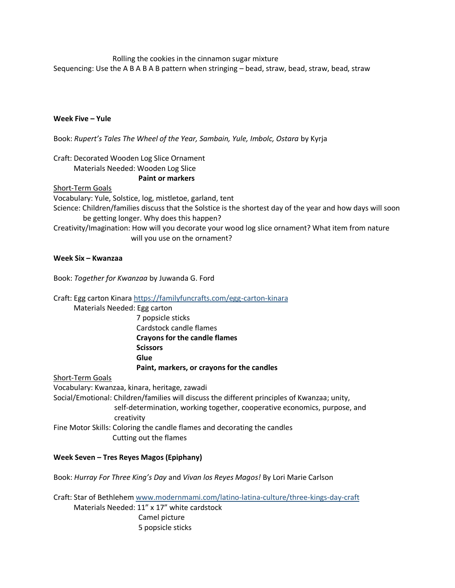Rolling the cookies in the cinnamon sugar mixture

Sequencing: Use the A B A B A B pattern when stringing – bead, straw, bead, straw, bead, straw

# **Week Five – Yule**

Book: *Rupert's Tales The Wheel of the Year, Sambain, Yule, Imbolc, Ostara* by Kyrja

# Craft: Decorated Wooden Log Slice Ornament Materials Needed: Wooden Log Slice

#### **Paint or markers**

Short-Term Goals

Vocabulary: Yule, Solstice, log, mistletoe, garland, tent Science: Children/families discuss that the Solstice is the shortest day of the year and how days will soon be getting longer. Why does this happen? Creativity/Imagination: How will you decorate your wood log slice ornament? What item from nature will you use on the ornament?

# **Week Six – Kwanzaa**

Book: *Together for Kwanzaa* by Juwanda G. Ford

Craft: Egg carton Kinara<https://familyfuncrafts.com/egg-carton-kinara>

Materials Needed: Egg carton

 7 popsicle sticks Cardstock candle flames **Crayons for the candle flames Scissors Glue Paint, markers, or crayons for the candles**

Short-Term Goals

Vocabulary: Kwanzaa, kinara, heritage, zawadi Social/Emotional: Children/families will discuss the different principles of Kwanzaa; unity, self-determination, working together, cooperative economics, purpose, and creativity Fine Motor Skills: Coloring the candle flames and decorating the candles Cutting out the flames

## **Week Seven – Tres Reyes Magos (Epiphany)**

Book: *Hurray For Three King's Day* and *Vivan los Reyes Magos!* By Lori Marie Carlson

Craft: Star of Bethlehem [www.modernmami.com/latino-latina-culture/three-kings-day-craft](http://www.modernmami.com/latino-latina-culture/three-kings-day-craft)

 Materials Needed: 11" x 17" white cardstock Camel picture 5 popsicle sticks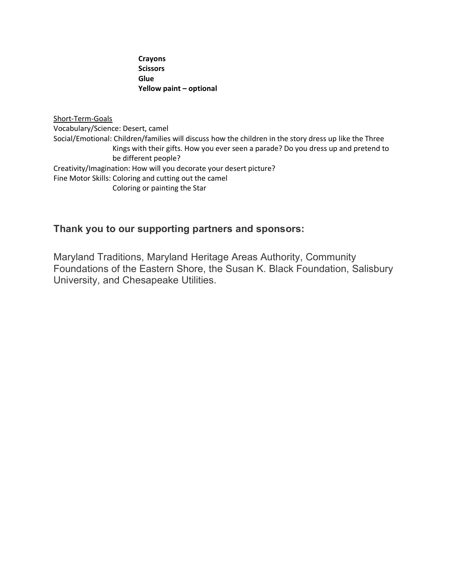**Crayons Scissors Glue Yellow paint – optional** 

Short-Term-Goals Vocabulary/Science: Desert, camel Social/Emotional: Children/families will discuss how the children in the story dress up like the Three Kings with their gifts. How you ever seen a parade? Do you dress up and pretend to be different people? Creativity/Imagination: How will you decorate your desert picture? Fine Motor Skills: Coloring and cutting out the camel Coloring or painting the Star

# **Thank you to our supporting partners and sponsors:**

Maryland Traditions, Maryland Heritage Areas Authority, Community Foundations of the Eastern Shore, the Susan K. Black Foundation, Salisbury University, and Chesapeake Utilities.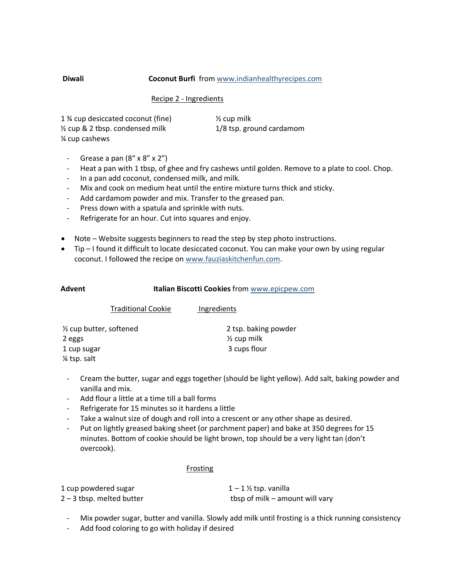#### **Diwali Coconut Burfi** from [www.indianhealthyrecipes.com](http://www.indianhealthyrecipes.com/)

#### Recipe 2 - Ingredients

| 1 % cup desiccated coconut (fine)          | $\frac{1}{2}$ cup milk   |
|--------------------------------------------|--------------------------|
| $\frac{1}{2}$ cup & 2 tbsp. condensed milk | 1/8 tsp. ground cardamom |
| % cup cashews                              |                          |

- Grease a pan  $(8'' \times 8'' \times 2'')$
- Heat a pan with 1 tbsp, of ghee and fry cashews until golden. Remove to a plate to cool. Chop.
- In a pan add coconut, condensed milk, and milk.
- Mix and cook on medium heat until the entire mixture turns thick and sticky.
- Add cardamom powder and mix. Transfer to the greased pan.
- Press down with a spatula and sprinkle with nuts.
- Refrigerate for an hour. Cut into squares and enjoy.
- Note Website suggests beginners to read the step by step photo instructions.
- Tip I found it difficult to locate desiccated coconut. You can make your own by using regular coconut. I followed the recipe on [www.fauziaskitchenfun.com.](http://www.fauziaskitchenfun.com/)

| Advent      |                           | Italian Biscotti Cookies from www.epicpew.com |  |
|-------------|---------------------------|-----------------------------------------------|--|
|             | <b>Traditional Cookie</b> | Ingredients                                   |  |
|             | 1/2 cup butter, softened  | 2 tsp. baking powder                          |  |
| 2 eggs      |                           | $\frac{1}{2}$ cup milk                        |  |
| 1 cup sugar |                           | 3 cups flour                                  |  |

¼ tsp. salt

- Cream the butter, sugar and eggs together (should be light yellow). Add salt, baking powder and vanilla and mix.
- Add flour a little at a time till a ball forms
- Refrigerate for 15 minutes so it hardens a little
- Take a walnut size of dough and roll into a crescent or any other shape as desired.
- Put on lightly greased baking sheet (or parchment paper) and bake at 350 degrees for 15 minutes. Bottom of cookie should be light brown, top should be a very light tan (don't overcook).

## **Frosting**

| 1 cup powdered sugar        | $1 - 1$ % tsp. vanilla          |
|-----------------------------|---------------------------------|
| $2 - 3$ tbsp. melted butter | tbsp of milk – amount will vary |

- Mix powder sugar, butter and vanilla. Slowly add milk until frosting is a thick running consistency
- Add food coloring to go with holiday if desired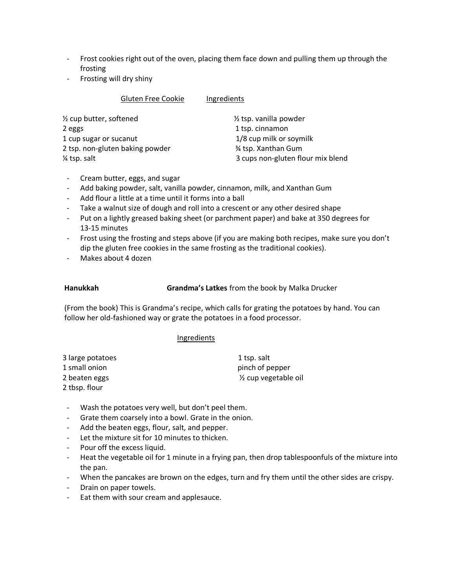- Frost cookies right out of the oven, placing them face down and pulling them up through the frosting
- Frosting will dry shiny

| <b>Gluten Free Cookie</b>       | Ingredients                       |
|---------------------------------|-----------------------------------|
| 1/2 cup butter, softened        | $\frac{1}{2}$ tsp. vanilla powder |
| 2 eggs                          | 1 tsp. cinnamon                   |
| 1 cup sugar or sucanut          | 1/8 cup milk or soymilk           |
| 2 tsp. non-gluten baking powder | % tsp. Xanthan Gum                |
| 1/4 tsp. salt                   | 3 cups non-gluten flour mix blend |

- Cream butter, eggs, and sugar
- Add baking powder, salt, vanilla powder, cinnamon, milk, and Xanthan Gum
- Add flour a little at a time until it forms into a ball
- Take a walnut size of dough and roll into a crescent or any other desired shape
- Put on a lightly greased baking sheet (or parchment paper) and bake at 350 degrees for 13-15 minutes
- Frost using the frosting and steps above (if you are making both recipes, make sure you don't dip the gluten free cookies in the same frosting as the traditional cookies).
- Makes about 4 dozen

**Hanukkah Grandma's Latkes** from the book by Malka Drucker

 (From the book) This is Grandma's recipe, which calls for grating the potatoes by hand. You can follow her old-fashioned way or grate the potatoes in a food processor.

#### **Ingredients**

| 3 large potatoes | 1 tsp. salt                       |
|------------------|-----------------------------------|
| 1 small onion    | pinch of pepper                   |
| 2 beaten eggs    | 1/ <sub>2</sub> cup vegetable oil |
| 2 tbsp. flour    |                                   |

- Wash the potatoes very well, but don't peel them.
- Grate them coarsely into a bowl. Grate in the onion.
- Add the beaten eggs, flour, salt, and pepper.
- Let the mixture sit for 10 minutes to thicken.
- Pour off the excess liquid.
- Heat the vegetable oil for 1 minute in a frying pan, then drop tablespoonfuls of the mixture into the pan.
- When the pancakes are brown on the edges, turn and fry them until the other sides are crispy.
- Drain on paper towels.
- Eat them with sour cream and applesauce.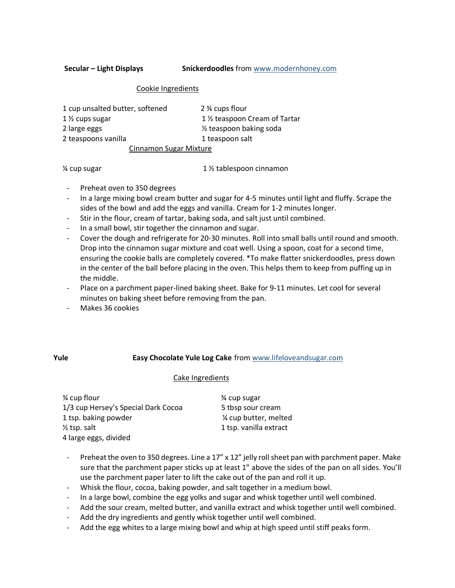**Secular – Light Displays Snickerdoodles** from [www.modernhoney.com](http://www.modernhoney.com/)

#### Cookie Ingredients

| 1 cup unsalted butter, softened | 2 % cups flour                             |
|---------------------------------|--------------------------------------------|
| 1 1/2 cups sugar                | 1 1/ <sub>2</sub> teaspoon Cream of Tartar |
| 2 large eggs                    | 1/ <sub>2</sub> teaspoon baking soda       |
| 2 teaspoons vanilla             | 1 teaspoon salt                            |
| <b>Cinnamon Sugar Mixture</b>   |                                            |

¼ cup sugar 1 ½ tablespoon cinnamon

- Preheat oven to 350 degrees
- In a large mixing bowl cream butter and sugar for 4-5 minutes until light and fluffy. Scrape the sides of the bowl and add the eggs and vanilla. Cream for 1-2 minutes longer.
- Stir in the flour, cream of tartar, baking soda, and salt just until combined.
- In a small bowl, stir together the cinnamon and sugar.
- Cover the dough and refrigerate for 20-30 minutes. Roll into small balls until round and smooth. Drop into the cinnamon sugar mixture and coat well. Using a spoon, coat for a second time, ensuring the cookie balls are completely covered. \*To make flatter snickerdoodles, press down in the center of the ball before placing in the oven. This helps them to keep from puffing up in the middle.
- Place on a parchment paper-lined baking sheet. Bake for 9-11 minutes. Let cool for several minutes on baking sheet before removing from the pan.
- Makes 36 cookies

## **Yule Easy Chocolate Yule Log Cake** fro[m www.lifeloveandsugar.com](http://www.lifeloveandsugar.com/)

## Cake Ingredients

| <b>%</b> cup flour                  | 3⁄4 cup sugar          |
|-------------------------------------|------------------------|
| 1/3 cup Hersey's Special Dark Cocoa | 5 tbsp sour cream      |
| 1 tsp. baking powder                | 1/4 cup butter, melted |
| $\frac{1}{2}$ tsp. salt             | 1 tsp. vanilla extract |
| 4 large eggs, divided               |                        |

- Preheat the oven to 350 degrees. Line a 17" x 12" jelly roll sheet pan with parchment paper. Make sure that the parchment paper sticks up at least 1" above the sides of the pan on all sides. You'll use the parchment paper later to lift the cake out of the pan and roll it up.
- Whisk the flour, cocoa, baking powder, and salt together in a medium bowl.
- In a large bowl, combine the egg yolks and sugar and whisk together until well combined.
- Add the sour cream, melted butter, and vanilla extract and whisk together until well combined.
- Add the dry ingredients and gently whisk together until well combined.
- Add the egg whites to a large mixing bowl and whip at high speed until stiff peaks form.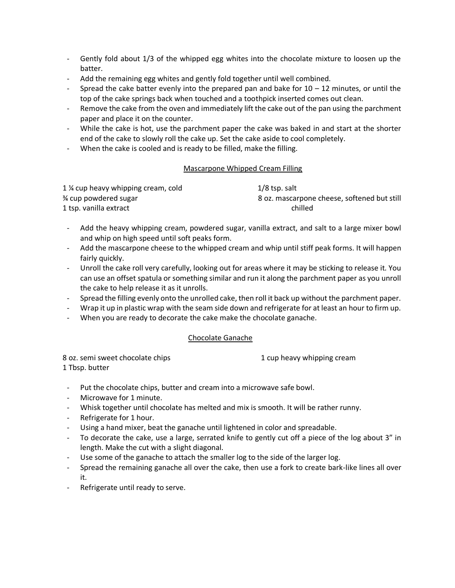- Gently fold about 1/3 of the whipped egg whites into the chocolate mixture to loosen up the batter.
- Add the remaining egg whites and gently fold together until well combined.
- Spread the cake batter evenly into the prepared pan and bake for  $10 12$  minutes, or until the top of the cake springs back when touched and a toothpick inserted comes out clean.
- Remove the cake from the oven and immediately lift the cake out of the pan using the parchment paper and place it on the counter.
- While the cake is hot, use the parchment paper the cake was baked in and start at the shorter end of the cake to slowly roll the cake up. Set the cake aside to cool completely.
- When the cake is cooled and is ready to be filled, make the filling.

## Mascarpone Whipped Cream Filling

| 1 % cup heavy whipping cream, cold | 1/8 tsp. salt                               |
|------------------------------------|---------------------------------------------|
| <sup>3</sup> ⁄4 cup powdered sugar | 8 oz. mascarpone cheese, softened but still |
| 1 tsp. vanilla extract             | chilled                                     |

- Add the heavy whipping cream, powdered sugar, vanilla extract, and salt to a large mixer bowl and whip on high speed until soft peaks form.
- Add the mascarpone cheese to the whipped cream and whip until stiff peak forms. It will happen fairly quickly.
- Unroll the cake roll very carefully, looking out for areas where it may be sticking to release it. You can use an offset spatula or something similar and run it along the parchment paper as you unroll the cake to help release it as it unrolls.
- Spread the filling evenly onto the unrolled cake, then roll it back up without the parchment paper.
- Wrap it up in plastic wrap with the seam side down and refrigerate for at least an hour to firm up.
- When you are ready to decorate the cake make the chocolate ganache.

## Chocolate Ganache

8 oz. semi sweet chocolate chips 1 cup heavy whipping cream 1 Tbsp. butter

- Put the chocolate chips, butter and cream into a microwave safe bowl.
- Microwave for 1 minute.
- Whisk together until chocolate has melted and mix is smooth. It will be rather runny.
- Refrigerate for 1 hour.
- Using a hand mixer, beat the ganache until lightened in color and spreadable.
- To decorate the cake, use a large, serrated knife to gently cut off a piece of the log about 3" in length. Make the cut with a slight diagonal.
- Use some of the ganache to attach the smaller log to the side of the larger log.
- Spread the remaining ganache all over the cake, then use a fork to create bark-like lines all over it.
- Refrigerate until ready to serve.